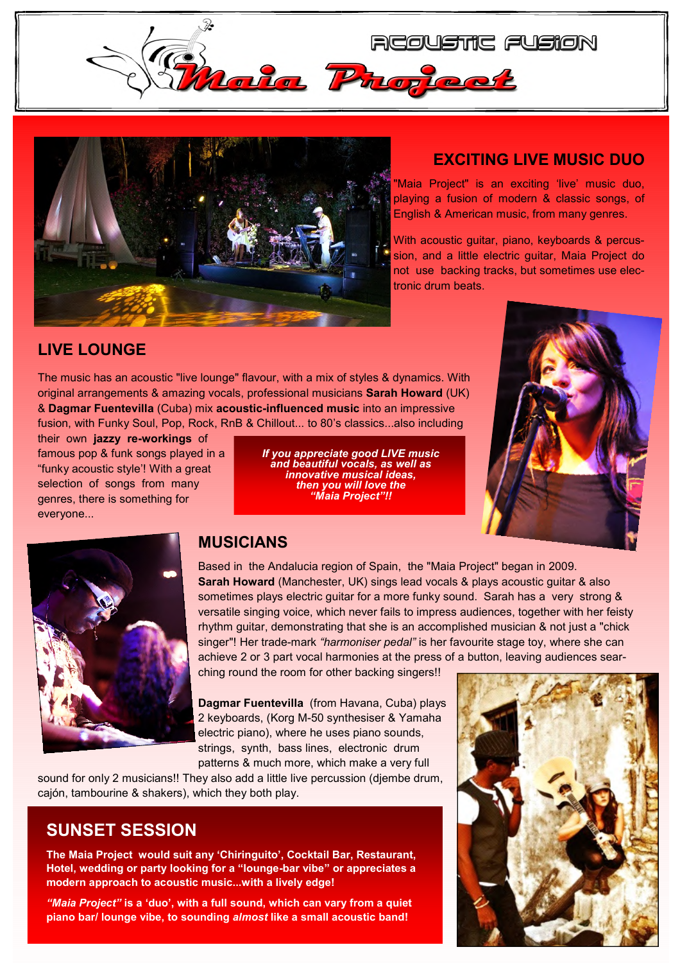



## **EXCITING LIVE MUSIC DUO**

"Maia Project" is an exciting 'live' music duo, playing a fusion of modern & classic songs, of English & American music, from many genres.

With acoustic guitar, piano, keyboards & percussion, and a little electric guitar, Maia Project do not use backing tracks, but sometimes use electronic drum beats.

## **LIVE LOUNGE**

The music has an acoustic "live lounge" flavour, with a mix of styles & dynamics. With original arrangements & amazing vocals, professional musicians **Sarah Howard** (UK) & **Dagmar Fuentevilla** (Cuba) mix **acoustic-influenced music** into an impressive fusion, with Funky Soul, Pop, Rock, RnB & Chillout... to 80's classics...also including

their own **jazzy re-workings** of famous pop & funk songs played in a "funky acoustic style'! With a great selection of songs from many genres, there is something for everyone...

 *If you appreciate good LIVE music and beautiful vocals, as well as innovative musical ideas, then you will love the "Maia Project"!!* 





#### **MUSICIANS**

Based in the Andalucia region of Spain, the "Maia Project" began in 2009. **Sarah Howard** (Manchester, UK) sings lead vocals & plays acoustic guitar & also sometimes plays electric guitar for a more funky sound. Sarah has a very strong & versatile singing voice, which never fails to impress audiences, together with her feisty rhythm guitar, demonstrating that she is an accomplished musician & not just a "chick singer"! Her trade-mark *"harmoniser pedal"* is her favourite stage toy, where she can achieve 2 or 3 part vocal harmonies at the press of a button, leaving audiences sear-

ching round the room for other backing singers!!

**Dagmar Fuentevilla** (from Havana, Cuba) plays 2 keyboards, (Korg M-50 synthesiser & Yamaha electric piano), where he uses piano sounds, strings, synth, bass lines, electronic drum patterns & much more, which make a very full

sound for only 2 musicians!! They also add a little live percussion (djembe drum, cajón, tambourine & shakers), which they both play.

## **SUNSET SESSION**

**The Maia Project would suit any 'Chiringuito', Cocktail Bar, Restaurant, Hotel, wedding or party looking for a "lounge-bar vibe" or appreciates a modern approach to acoustic music...with a lively edge!** 

*"Maia Project"* **is a 'duo', with a full sound, which can vary from a quiet piano bar/ lounge vibe, to sounding** *almost* **like a small acoustic band!**